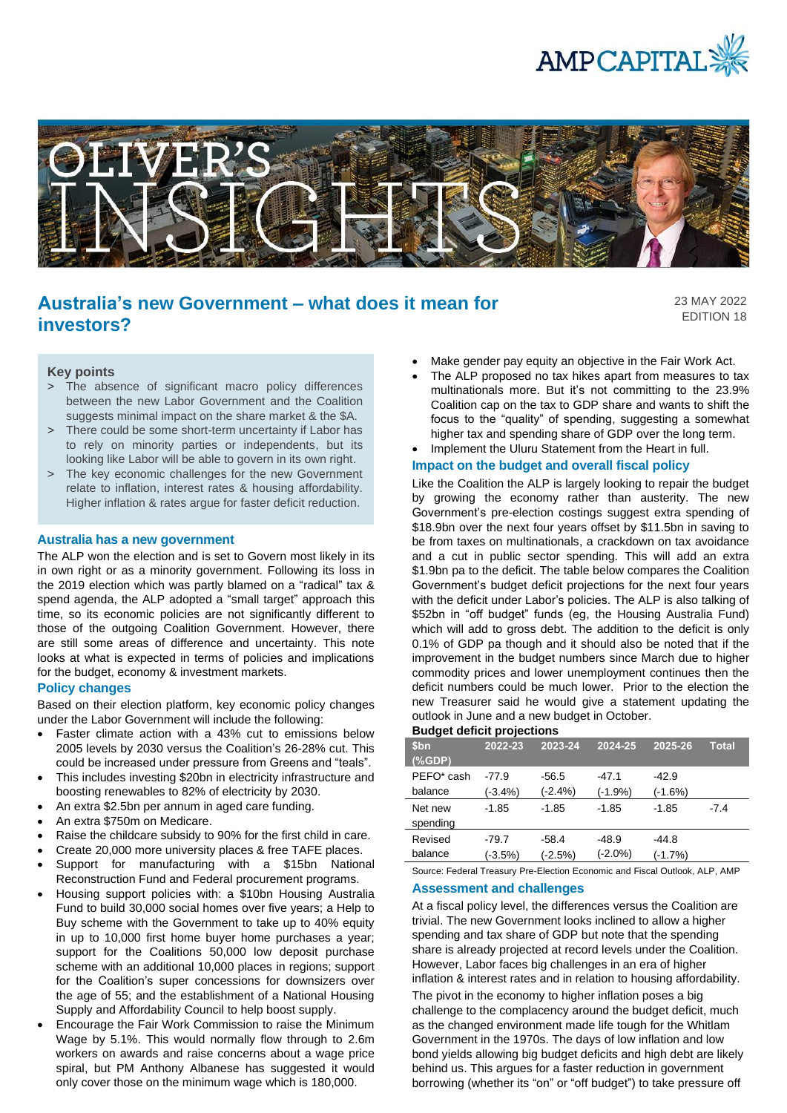



# **Australia's new Government – what does it mean for investors?**

23 MAY 2022 EDITION 18

## **Key points**

- > The absence of significant macro policy differences between the new Labor Government and the Coalition suggests minimal impact on the share market & the \$A.
- > There could be some short-term uncertainty if Labor has to rely on minority parties or independents, but its looking like Labor will be able to govern in its own right.
- > The key economic challenges for the new Government relate to inflation, interest rates & housing affordability. Higher inflation & rates argue for faster deficit reduction.

#### **Australia has a new government**

The ALP won the election and is set to Govern most likely in its in own right or as a minority government. Following its loss in the 2019 election which was partly blamed on a "radical" tax & spend agenda, the ALP adopted a "small target" approach this time, so its economic policies are not significantly different to those of the outgoing Coalition Government. However, there are still some areas of difference and uncertainty. This note looks at what is expected in terms of policies and implications for the budget, economy & investment markets.

## **Policy changes**

Based on their election platform, key economic policy changes under the Labor Government will include the following:

- Faster climate action with a 43% cut to emissions below 2005 levels by 2030 versus the Coalition's 26-28% cut. This could be increased under pressure from Greens and "teals".
- This includes investing \$20bn in electricity infrastructure and boosting renewables to 82% of electricity by 2030.
- An extra \$2.5bn per annum in aged care funding.
- An extra \$750m on Medicare.
- Raise the childcare subsidy to 90% for the first child in care.
- Create 20,000 more university places & free TAFE places.
- Support for manufacturing with a \$15bn National Reconstruction Fund and Federal procurement programs.
- Housing support policies with: a \$10bn Housing Australia Fund to build 30,000 social homes over five years; a Help to Buy scheme with the Government to take up to 40% equity in up to 10,000 first home buyer home purchases a year; support for the Coalitions 50,000 low deposit purchase scheme with an additional 10,000 places in regions; support for the Coalition's super concessions for downsizers over the age of 55; and the establishment of a National Housing Supply and Affordability Council to help boost supply.
- Encourage the Fair Work Commission to raise the Minimum Wage by 5.1%. This would normally flow through to 2.6m workers on awards and raise concerns about a wage price spiral, but PM Anthony Albanese has suggested it would only cover those on the minimum wage which is 180,000.
- Make gender pay equity an objective in the Fair Work Act.
- The ALP proposed no tax hikes apart from measures to tax multinationals more. But it's not committing to the 23.9% Coalition cap on the tax to GDP share and wants to shift the focus to the "quality" of spending, suggesting a somewhat higher tax and spending share of GDP over the long term.
- Implement the Uluru Statement from the Heart in full.

# **Impact on the budget and overall fiscal policy**

Like the Coalition the ALP is largely looking to repair the budget by growing the economy rather than austerity. The new Government's pre-election costings suggest extra spending of \$18.9bn over the next four years offset by \$11.5bn in saving to be from taxes on multinationals, a crackdown on tax avoidance and a cut in public sector spending. This will add an extra \$1.9bn pa to the deficit. The table below compares the Coalition Government's budget deficit projections for the next four years with the deficit under Labor's policies. The ALP is also talking of \$52bn in "off budget" funds (eg, the Housing Australia Fund) which will add to gross debt. The addition to the deficit is only 0.1% of GDP pa though and it should also be noted that if the improvement in the budget numbers since March due to higher commodity prices and lower unemployment continues then the deficit numbers could be much lower. Prior to the election the new Treasurer said he would give a statement updating the outlook in June and a new budget in October.

#### **Budget deficit projections**

| \$bn<br>$(%$ $(%$ $\mathbf{GDP})$ | 2022-23    | 2023-24   | 2024-25    | 2025-26   | <b>Total</b> |
|-----------------------------------|------------|-----------|------------|-----------|--------------|
| PEFO* cash                        | $-77.9$    | $-56.5$   | $-47.1$    | $-42.9$   |              |
| balance                           | $(-3.4\%)$ | $(-2.4%)$ | $(-1.9%)$  | $(-1.6%)$ |              |
| Net new                           | $-1.85$    | $-1.85$   | $-1.85$    | $-1.85$   | $-7.4$       |
| spending                          |            |           |            |           |              |
| Revised                           | $-79.7$    | $-58.4$   | $-48.9$    | $-44.8$   |              |
| balance                           | $(-3.5%)$  | $(-2.5%)$ | $(-2.0\%)$ | $(-1.7%)$ |              |

Source: Federal Treasury Pre-Election Economic and Fiscal Outlook, ALP, AMP

### **Assessment and challenges**

At a fiscal policy level, the differences versus the Coalition are trivial. The new Government looks inclined to allow a higher spending and tax share of GDP but note that the spending share is already projected at record levels under the Coalition. However, Labor faces big challenges in an era of higher inflation & interest rates and in relation to housing affordability. The pivot in the economy to higher inflation poses a big challenge to the complacency around the budget deficit, much as the changed environment made life tough for the Whitlam Government in the 1970s. The days of low inflation and low bond yields allowing big budget deficits and high debt are likely behind us. This argues for a faster reduction in government borrowing (whether its "on" or "off budget") to take pressure off